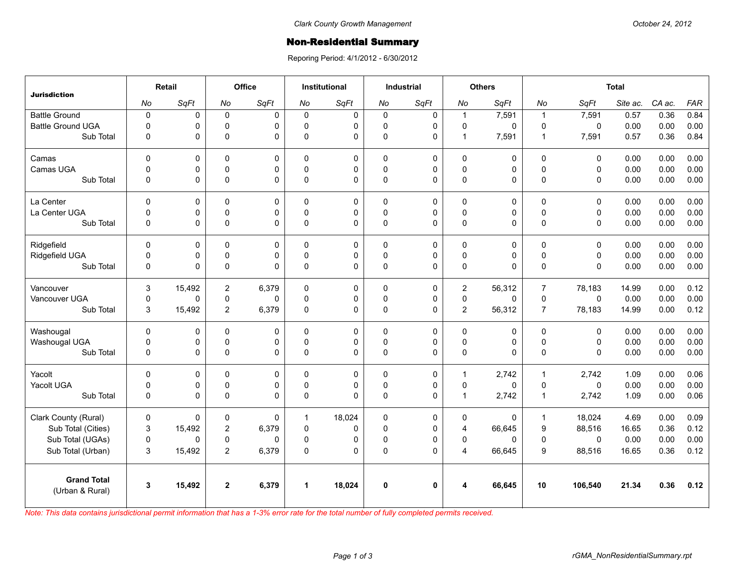## **Non-Residential Summary**

Reporing Period: 4/1/2012 - 6/30/2012

| <b>Jurisdiction</b>      | Retail       |        | Office         |              | <b>Institutional</b> |             | <b>Industrial</b> |              | <b>Others</b>  |        | <b>Total</b>   |              |          |        |            |
|--------------------------|--------------|--------|----------------|--------------|----------------------|-------------|-------------------|--------------|----------------|--------|----------------|--------------|----------|--------|------------|
|                          | No           | SqFt   | No             | SqFt         | No                   | SqFt        | No                | SqFt         | No             | SqFt   | No             | SqFt         | Site ac. | CA ac. | <b>FAR</b> |
| <b>Battle Ground</b>     | $\pmb{0}$    | 0      | $\mathbf 0$    | 0            | $\mathbf 0$          | 0           | $\mathbf 0$       | 0            | $\mathbf{1}$   | 7,591  | $\mathbf{1}$   | 7,591        | 0.57     | 0.36   | 0.84       |
| <b>Battle Ground UGA</b> | $\mathbf 0$  | 0      | $\mathbf 0$    | $\Omega$     | $\Omega$             | 0           | $\mathbf 0$       | $\mathbf 0$  | $\mathbf 0$    | 0      | $\mathbf 0$    | $\mathbf{0}$ | 0.00     | 0.00   | 0.00       |
| Sub Total                | 0            | 0      | $\mathbf 0$    | $\Omega$     | $\mathbf{0}$         | 0           | $\pmb{0}$         | 0            | $\mathbf{1}$   | 7,591  | $\mathbf{1}$   | 7,591        | 0.57     | 0.36   | 0.84       |
| Camas                    | $\Omega$     | 0      | $\Omega$       | $\mathbf{0}$ | $\Omega$             | 0           | $\Omega$          | $\mathbf 0$  | $\mathbf 0$    | 0      | $\Omega$       | $\mathbf{0}$ | 0.00     | 0.00   | 0.00       |
| Camas UGA                | $\mathbf 0$  | 0      | $\pmb{0}$      | 0            | $\Omega$             | 0           | $\pmb{0}$         | 0            | $\mathbf 0$    | 0      | $\mathbf 0$    | $\mathbf 0$  | 0.00     | 0.00   | 0.00       |
| Sub Total                | $\mathbf{0}$ | 0      | $\pmb{0}$      | $\Omega$     | $\Omega$             | $\Omega$    | $\Omega$          | $\Omega$     | $\pmb{0}$      | 0      | $\Omega$       | $\mathbf{0}$ | 0.00     | 0.00   | 0.00       |
| La Center                | $\mathbf 0$  | 0      | $\mathbf 0$    | $\mathbf 0$  | $\mathbf{0}$         | $\mathbf 0$ | $\mathbf 0$       | 0            | $\pmb{0}$      | 0      | $\mathbf 0$    | $\mathbf 0$  | 0.00     | 0.00   | 0.00       |
| La Center UGA            | 0            | 0      | $\mathbf 0$    | $\mathbf 0$  | $\Omega$             | 0           | $\mathbf 0$       | $\mathbf 0$  | $\mathbf 0$    | 0      | $\pmb{0}$      | $\mathbf 0$  | 0.00     | 0.00   | 0.00       |
| Sub Total                | $\mathbf 0$  | 0      | $\pmb{0}$      | $\Omega$     | $\Omega$             | 0           | $\pmb{0}$         | 0            | $\pmb{0}$      | 0      | $\mathbf{0}$   | $\mathbf{0}$ | 0.00     | 0.00   | 0.00       |
| Ridgefield               | $\Omega$     | 0      | 0              | $\Omega$     | 0                    | 0           | $\Omega$          | $\mathbf 0$  | 0              | 0      | 0              | $\mathbf{0}$ | 0.00     | 0.00   | 0.00       |
| Ridgefield UGA           | $\pmb{0}$    | 0      | $\mathsf 0$    | $\mathbf 0$  | $\mathbf 0$          | 0           | $\mathsf 0$       | $\mathsf 0$  | $\mathsf 0$    | 0      | $\pmb{0}$      | $\mathbf 0$  | 0.00     | 0.00   | 0.00       |
| Sub Total                | 0            | 0      | $\Omega$       | $\Omega$     | $\Omega$             | 0           | $\pmb{0}$         | $\mathbf{0}$ | $\pmb{0}$      | 0      | $\Omega$       | $\mathbf{0}$ | 0.00     | 0.00   | 0.00       |
| Vancouver                | 3            | 15,492 | $\overline{2}$ | 6,379        | $\mathbf{0}$         | $\mathbf 0$ | $\Omega$          | $\mathbf 0$  | $\overline{2}$ | 56,312 | $\overline{7}$ | 78,183       | 14.99    | 0.00   | 0.12       |
| Vancouver UGA            | 0            | 0      | 0              | $\Omega$     | 0                    | 0           | $\mathbf 0$       | $\pmb{0}$    | $\mathsf 0$    | 0      | $\pmb{0}$      | $\mathsf 0$  | 0.00     | 0.00   | 0.00       |
| Sub Total                | 3            | 15,492 | $\overline{2}$ | 6,379        | $\mathbf{0}$         | $\mathbf 0$ | $\pmb{0}$         | $\mathbf 0$  | $\overline{2}$ | 56,312 | $\overline{7}$ | 78,183       | 14.99    | 0.00   | 0.12       |
| Washougal                | $\mathbf 0$  | 0      | $\pmb{0}$      | 0            | 0                    | 0           | 0                 | $\mathbf 0$  | $\pmb{0}$      | 0      | $\pmb{0}$      | $\mathbf 0$  | 0.00     | 0.00   | 0.00       |
| Washougal UGA            | 0            | 0      | $\pmb{0}$      | 0            | $\mathbf{0}$         | 0           | $\mathbf 0$       | 0            | $\pmb{0}$      | 0      | $\pmb{0}$      | $\mathbf 0$  | 0.00     | 0.00   | 0.00       |
| Sub Total                | 0            | 0      | $\pmb{0}$      | $\Omega$     | 0                    | $\Omega$    | $\pmb{0}$         | 0            | $\pmb{0}$      | 0      | $\pmb{0}$      | $\mathbf 0$  | 0.00     | 0.00   | 0.00       |
| Yacolt                   | $\Omega$     | 0      | $\mathbf 0$    | $\mathbf{0}$ | $\Omega$             | 0           | 0                 | 0            | $\mathbf{1}$   | 2,742  | $\mathbf{1}$   | 2,742        | 1.09     | 0.00   | 0.06       |
| Yacolt UGA               | 0            | 0      | $\mathsf 0$    | 0            | 0                    | 0           | 0                 | 0            | $\mathsf 0$    | 0      | $\pmb{0}$      | $\mathsf 0$  | 0.00     | 0.00   | 0.00       |
| Sub Total                | $\mathbf 0$  | 0      | $\Omega$       | $\Omega$     | $\Omega$             | $\Omega$    | $\Omega$          | $\Omega$     | $\mathbf{1}$   | 2,742  | $\mathbf{1}$   | 2,742        | 1.09     | 0.00   | 0.06       |
| Clark County (Rural)     | $\mathbf 0$  | 0      | 0              | 0            | $\mathbf{1}$         | 18,024      | $\mathbf 0$       | $\pmb{0}$    | $\mathbf 0$    | 0      | $\mathbf{1}$   | 18,024       | 4.69     | 0.00   | 0.09       |
| Sub Total (Cities)       | 3            | 15,492 | $\overline{2}$ | 6,379        | $\mathbf 0$          | 0           | $\pmb{0}$         | 0            | $\overline{4}$ | 66,645 | 9              | 88,516       | 16.65    | 0.36   | 0.12       |
| Sub Total (UGAs)         | $\pmb{0}$    | 0      | 0              | $\Omega$     | 0                    | 0           | 0                 | 0            | 0              | 0      | $\mathbf 0$    | $\mathbf 0$  | 0.00     | 0.00   | 0.00       |
| Sub Total (Urban)        | 3            | 15,492 | $\overline{c}$ | 6,379        | 0                    | $\mathbf 0$ | $\pmb{0}$         | $\Omega$     | $\overline{4}$ | 66,645 | 9              | 88,516       | 16.65    | 0.36   | 0.12       |
| <b>Grand Total</b>       | 3            | 15,492 | $\overline{2}$ | 6,379        | $\blacktriangleleft$ | 18,024      | $\mathbf{0}$      | $\mathbf{0}$ | 4              | 66,645 | 10             | 106,540      | 21.34    | 0.36   | 0.12       |
| (Urban & Rural)          |              |        |                |              |                      |             |                   |              |                |        |                |              |          |        |            |

*Note: This data contains jurisdictional permit information that has a 1-3% error rate for the total number of fully completed permits received.*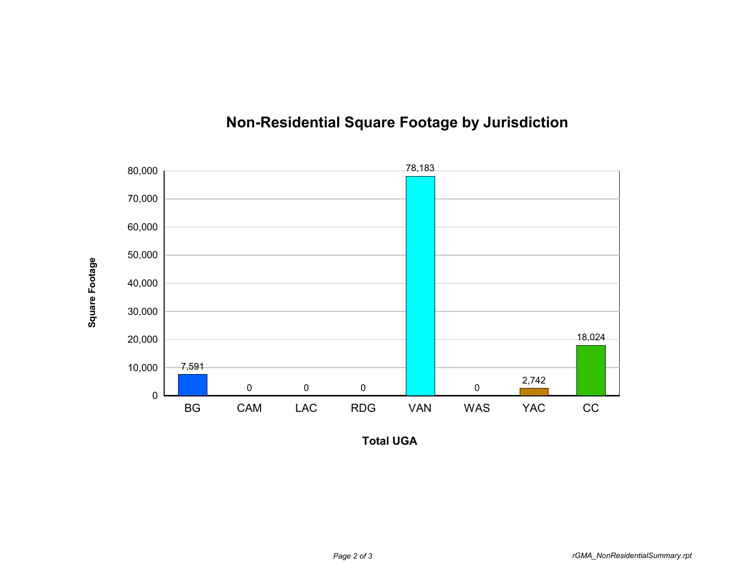

## **Non-Residential Square Footage by Jurisdiction**

**Total UGA**